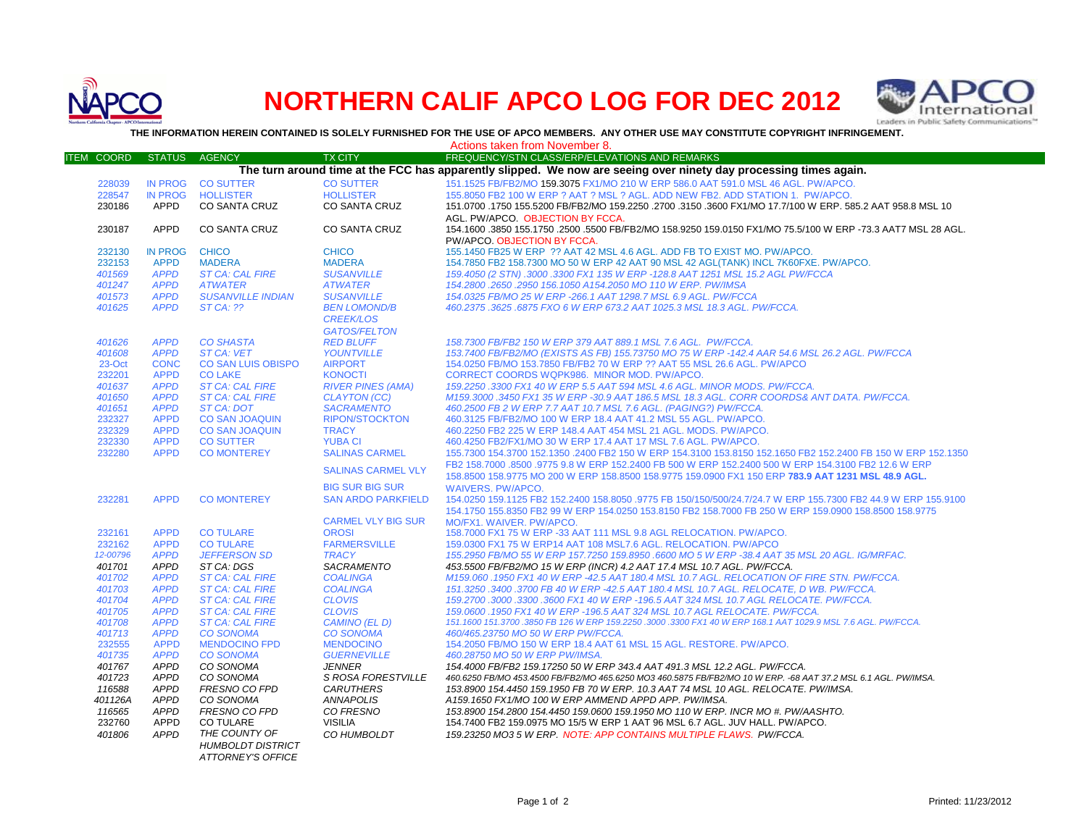

## **NORTHERN CALIF APCO LOG FOR DEC 2012**



**THE INFORMATION HEREIN CONTAINED IS SOLELY FURNISHED FOR THE USE OF APCO MEMBERS. ANY OTHER USE MAY CONSTITUTE COPYRIGHT INFRINGEMENT.**

|                                                                                                                   | Actions taken from November 8. |                           |                           |                                                                                                                |  |  |  |  |  |
|-------------------------------------------------------------------------------------------------------------------|--------------------------------|---------------------------|---------------------------|----------------------------------------------------------------------------------------------------------------|--|--|--|--|--|
| <b>ITEM COORD</b>                                                                                                 | <b>STATUS</b>                  | <b>AGENCY</b>             | <b>TX CITY</b>            | FREQUENCY/STN CLASS/ERP/ELEVATIONS AND REMARKS                                                                 |  |  |  |  |  |
| The turn around time at the FCC has apparently slipped. We now are seeing over ninety day processing times again. |                                |                           |                           |                                                                                                                |  |  |  |  |  |
| 228039                                                                                                            |                                | IN PROG CO SUTTER         | <b>CO SUTTER</b>          | 151.1525 FB/FB2/MO 159.3075 FX1/MO 210 W ERP 586.0 AAT 591.0 MSL 46 AGL. PW/APCO.                              |  |  |  |  |  |
| 228547                                                                                                            | <b>IN PROG</b>                 | <b>HOLLISTER</b>          | <b>HOLLISTER</b>          | 155.8050 FB2 100 W ERP ? AAT ? MSL ? AGL. ADD NEW FB2. ADD STATION 1. PW/APCO.                                 |  |  |  |  |  |
| 230186                                                                                                            | APPD                           | <b>CO SANTA CRUZ</b>      | <b>CO SANTA CRUZ</b>      | 151.0700 .1750 155.5200 FB/FB2/MO 159.2250 .2700 .3150 .3600 FX1/MO 17.7/100 W ERP, 585.2 AAT 958.8 MSL 10     |  |  |  |  |  |
|                                                                                                                   |                                |                           |                           | AGL. PW/APCO. OBJECTION BY FCCA.                                                                               |  |  |  |  |  |
| 230187                                                                                                            | <b>APPD</b>                    | <b>CO SANTA CRUZ</b>      | CO SANTA CRUZ             | 154.1600 .3850 155.1750 .2500 .5500 FB/FB2/MO 158.9250 159.0150 FX1/MO 75.5/100 W ERP -73.3 AAT7 MSL 28 AGL.   |  |  |  |  |  |
|                                                                                                                   |                                |                           |                           | PW/APCO, OBJECTION BY FCCA.                                                                                    |  |  |  |  |  |
| 232130                                                                                                            | <b>IN PROG</b>                 | <b>CHICO</b>              | <b>CHICO</b>              | 155.1450 FB25 W ERP ?? AAT 42 MSL 4.6 AGL. ADD FB TO EXIST MO. PW/APCO.                                        |  |  |  |  |  |
| 232153                                                                                                            | <b>APPD</b>                    | <b>MADERA</b>             | <b>MADERA</b>             | 154.7850 FB2 158.7300 MO 50 W ERP 42 AAT 90 MSL 42 AGL(TANK) INCL 7K60FXE. PW/APCO.                            |  |  |  |  |  |
| 401569                                                                                                            | <b>APPD</b>                    | <b>ST CA: CAL FIRE</b>    | <b>SUSANVILLE</b>         | 159.4050 (2 STN) .3000 .3300 FX1 135 W ERP -128.8 AAT 1251 MSL 15.2 AGL PW/FCCA                                |  |  |  |  |  |
| 401247                                                                                                            | <b>APPD</b>                    | <b>ATWATER</b>            | <b>ATWATER</b>            | 154.2800.2650.2950 156.1050 A154.2050 MO 110 W ERP. PW/IMSA                                                    |  |  |  |  |  |
| 401573                                                                                                            | <b>APPD</b>                    | <b>SUSANVILLE INDIAN</b>  | <b>SUSANVILLE</b>         | 154.0325 FB/MO 25 W ERP -266.1 AAT 1298.7 MSL 6.9 AGL. PW/FCCA                                                 |  |  |  |  |  |
| 401625                                                                                                            | <b>APPD</b>                    | $STCA:$ ??                | <b>BEN LOMOND/B</b>       | 460.2375.3625.6875 FXO 6 W ERP 673.2 AAT 1025.3 MSL 18.3 AGL. PW/FCCA.                                         |  |  |  |  |  |
|                                                                                                                   |                                |                           | <b>CREEK/LOS</b>          |                                                                                                                |  |  |  |  |  |
|                                                                                                                   |                                |                           | <b>GATOS/FELTON</b>       |                                                                                                                |  |  |  |  |  |
| 401626                                                                                                            | <b>APPD</b>                    | <b>CO SHASTA</b>          | <b>RED BLUFF</b>          | 158.7300 FB/FB2 150 W ERP 379 AAT 889.1 MSL 7.6 AGL. PW/FCCA.                                                  |  |  |  |  |  |
| 401608                                                                                                            | <b>APPD</b>                    | <b>ST CA: VET</b>         | <b>YOUNTVILLE</b>         | 153.7400 FB/FB2/MO (EXISTS AS FB) 155.73750 MO 75 W ERP -142.4 AAR 54.6 MSL 26.2 AGL. PW/FCCA                  |  |  |  |  |  |
| 23-Oct                                                                                                            | <b>CONC</b>                    | <b>CO SAN LUIS OBISPO</b> | <b>AIRPORT</b>            | 154.0250 FB/MO 153.7850 FB/FB2 70 W ERP ?? AAT 55 MSL 26.6 AGL. PW/APCO                                        |  |  |  |  |  |
| 232201                                                                                                            | <b>APPD</b>                    | <b>CO LAKE</b>            | <b>KONOCTI</b>            | CORRECT COORDS WQPK986. MINOR MOD. PW/APCO.                                                                    |  |  |  |  |  |
| 401637                                                                                                            | <b>APPD</b>                    | <b>ST CA: CAL FIRE</b>    | <b>RIVER PINES (AMA)</b>  | 159.2250 .3300 FX1 40 W ERP 5.5 AAT 594 MSL 4.6 AGL. MINOR MODS. PW/FCCA.                                      |  |  |  |  |  |
| 401650                                                                                                            | <b>APPD</b>                    | <b>ST CA: CAL FIRE</b>    | <b>CLAYTON (CC)</b>       | M159.3000 .3450 FX1 35 W ERP -30.9 AAT 186.5 MSL 18.3 AGL. CORR COORDS& ANT DATA. PW/FCCA.                     |  |  |  |  |  |
| 401651                                                                                                            | <b>APPD</b>                    | ST CA: DOT                | <b>SACRAMENTO</b>         | 460.2500 FB 2 W ERP 7.7 AAT 10.7 MSL 7.6 AGL. (PAGING?) PW/FCCA.                                               |  |  |  |  |  |
| 232327                                                                                                            | <b>APPD</b>                    | <b>CO SAN JOAQUIN</b>     | <b>RIPON/STOCKTON</b>     | 460.3125 FB/FB2/MO 100 W ERP 18.4 AAT 41.2 MSL 55 AGL, PW/APCO.                                                |  |  |  |  |  |
| 232329                                                                                                            | <b>APPD</b>                    | <b>CO SAN JOAQUIN</b>     | <b>TRACY</b>              | 460.2250 FB2 225 W ERP 148.4 AAT 454 MSL 21 AGL. MODS. PW/APCO.                                                |  |  |  |  |  |
| 232330                                                                                                            | <b>APPD</b>                    | <b>CO SUTTER</b>          | <b>YUBA CI</b>            | 460.4250 FB2/FX1/MO 30 W ERP 17.4 AAT 17 MSL 7.6 AGL. PW/APCO.                                                 |  |  |  |  |  |
| 232280                                                                                                            | <b>APPD</b>                    | <b>CO MONTEREY</b>        | <b>SALINAS CARMEL</b>     | 155.7300 154.3700 152.1350 .2400 FB2 150 W ERP 154.3100 153.8150 152.1650 FB2 152.2400 FB 150 W ERP 152.1350   |  |  |  |  |  |
|                                                                                                                   |                                |                           | <b>SALINAS CARMEL VLY</b> | FB2 158,7000 .8500 .9775 9.8 W ERP 152,2400 FB 500 W ERP 152,2400 500 W ERP 154,3100 FB2 12.6 W ERP            |  |  |  |  |  |
|                                                                                                                   |                                |                           |                           | 158.8500 158.9775 MO 200 W ERP 158.8500 158.9775 159.0900 FX1 150 ERP 783.9 AAT 1231 MSL 48.9 AGL.             |  |  |  |  |  |
|                                                                                                                   |                                |                           | <b>BIG SUR BIG SUR</b>    | <b>WAIVERS, PW/APCO.</b>                                                                                       |  |  |  |  |  |
| 232281                                                                                                            | <b>APPD</b>                    | <b>CO MONTEREY</b>        | <b>SAN ARDO PARKFIELD</b> | 154.0250 159.1125 FB2 152.2400 158.8050 .9775 FB 150/150/500/24.7/24.7 W ERP 155.7300 FB2 44.9 W ERP 155.9100  |  |  |  |  |  |
|                                                                                                                   |                                |                           |                           | 154,1750 155,8350 FB2 99 W ERP 154,0250 153,8150 FB2 158,7000 FB 250 W ERP 159,0900 158,8500 158,9775          |  |  |  |  |  |
|                                                                                                                   |                                |                           | <b>CARMEL VLY BIG SUR</b> | MO/FX1. WAIVER. PW/APCO.                                                                                       |  |  |  |  |  |
| 232161                                                                                                            | <b>APPD</b>                    | <b>CO TULARE</b>          | <b>OROSI</b>              | 158.7000 FX1 75 W ERP -33 AAT 111 MSL 9.8 AGL RELOCATION. PW/APCO.                                             |  |  |  |  |  |
| 232162                                                                                                            | <b>APPD</b>                    | <b>CO TULARE</b>          | <b>FARMERSVILLE</b>       | 159,0300 FX1 75 W ERP14 AAT 108 MSL7.6 AGL, RELOCATION, PW/APCO                                                |  |  |  |  |  |
| 12-00796                                                                                                          | <b>APPD</b>                    | <b>JEFFERSON SD</b>       | <b>TRACY</b>              | 155.2950 FB/MO 55 W ERP 157.7250 159.8950 .6600 MO 5 W ERP -38.4 AAT 35 MSL 20 AGL. IG/MRFAC.                  |  |  |  |  |  |
| 401701                                                                                                            | <b>APPD</b>                    | ST CA: DGS                | SACRAMENTO                | 453.5500 FB/FB2/MO 15 W ERP (INCR) 4.2 AAT 17.4 MSL 10.7 AGL. PW/FCCA.                                         |  |  |  |  |  |
| 401702                                                                                                            | <b>APPD</b>                    | <b>ST CA: CAL FIRE</b>    | <b>COALINGA</b>           | M159.060 .1950 FX1 40 W ERP -42.5 AAT 180.4 MSL 10.7 AGL. RELOCATION OF FIRE STN. PW/FCCA.                     |  |  |  |  |  |
| 401703                                                                                                            | <b>APPD</b>                    | <b>ST CA: CAL FIRE</b>    | <b>COALINGA</b>           | 151.3250 .3400 .3700 FB 40 W ERP -42.5 AAT 180.4 MSL 10.7 AGL. RELOCATE, D WB. PW/FCCA.                        |  |  |  |  |  |
| 401704                                                                                                            | <b>APPD</b>                    | <b>ST CA: CAL FIRE</b>    | <b>CLOVIS</b>             | 159.2700.3000.3300.3600 FX1 40 W ERP -196.5 AAT 324 MSL 10.7 AGL RELOCATE. PW/FCCA.                            |  |  |  |  |  |
| 401705                                                                                                            | <b>APPD</b>                    | <b>ST CA: CAL FIRE</b>    | <b>CLOVIS</b>             | 159.0600.1950 FX1 40 W ERP -196.5 AAT 324 MSL 10.7 AGL RELOCATE. PW/FCCA.                                      |  |  |  |  |  |
| 401708                                                                                                            | <b>APPD</b>                    | <b>ST CA: CAL FIRE</b>    | CAMINO (EL D)             | 151.1600 151.3700 .3850 FB 126 W ERP 159.2250 .3000 .3300 FX1 40 W ERP 168.1 AAT 1029.9 MSL 7.6 AGL. PW/FCCA.  |  |  |  |  |  |
| 401713                                                                                                            | <b>APPD</b>                    | <b>CO SONOMA</b>          | <b>CO SONOMA</b>          | 460/465.23750 MO 50 W ERP PW/FCCA.                                                                             |  |  |  |  |  |
| 232555                                                                                                            | <b>APPD</b>                    | <b>MENDOCINO FPD</b>      | <b>MENDOCINO</b>          | 154.2050 FB/MO 150 W ERP 18.4 AAT 61 MSL 15 AGL. RESTORE. PW/APCO.                                             |  |  |  |  |  |
| 401735                                                                                                            | <b>APPD</b>                    | <b>CO SONOMA</b>          | <b>GUERNEVILLE</b>        | 460.28750 MO 50 W ERP PW/IMSA.                                                                                 |  |  |  |  |  |
| 401767                                                                                                            | <b>APPD</b>                    | CO SONOMA                 | <b>JENNER</b>             | 154.4000 FB/FB2 159.17250 50 W ERP 343.4 AAT 491.3 MSL 12.2 AGL. PW/FCCA.                                      |  |  |  |  |  |
| 401723                                                                                                            | <b>APPD</b>                    | CO SONOMA                 | S ROSA FORESTVILLE        | 460.6250 FB/MO 453.4500 FB/FB2/MO 465.6250 MO3 460.5875 FB/FB2/MO 10 W ERP. -68 AAT 37.2 MSL 6.1 AGL. PW/IMSA. |  |  |  |  |  |
| 116588                                                                                                            | <b>APPD</b>                    | FRESNO CO FPD             | <b>CARUTHERS</b>          | 153.8900 154.4450 159.1950 FB 70 W ERP. 10.3 AAT 74 MSL 10 AGL. RELOCATE. PW/IMSA.                             |  |  |  |  |  |
| 401126A                                                                                                           | <b>APPD</b>                    | CO SONOMA                 | <b>ANNAPOLIS</b>          | A159.1650 FX1/MO 100 W ERP AMMEND APPD APP. PW/IMSA.                                                           |  |  |  |  |  |
| 116565                                                                                                            | <b>APPD</b>                    | <b>FRESNO CO FPD</b>      | CO FRESNO                 | 153.8900 154.2800 154.4450 159.0600 159.1950 MO 110 W ERP. INCR MO #. PW/AASHTO.                               |  |  |  |  |  |
| 232760                                                                                                            | APPD                           | <b>CO TULARE</b>          | <b>VISILIA</b>            | 154.7400 FB2 159.0975 MO 15/5 W ERP 1 AAT 96 MSL 6.7 AGL. JUV HALL. PW/APCO.                                   |  |  |  |  |  |
| 401806                                                                                                            | <b>APPD</b>                    | THE COUNTY OF             | CO HUMBOLDT               | 159.23250 MO3 5 W ERP. NOTE: APP CONTAINS MULTIPLE FLAWS. PW/FCCA.                                             |  |  |  |  |  |
|                                                                                                                   |                                | <b>HUMBOLDT DISTRICT</b>  |                           |                                                                                                                |  |  |  |  |  |
|                                                                                                                   |                                | <b>ATTORNEY'S OFFICE</b>  |                           |                                                                                                                |  |  |  |  |  |